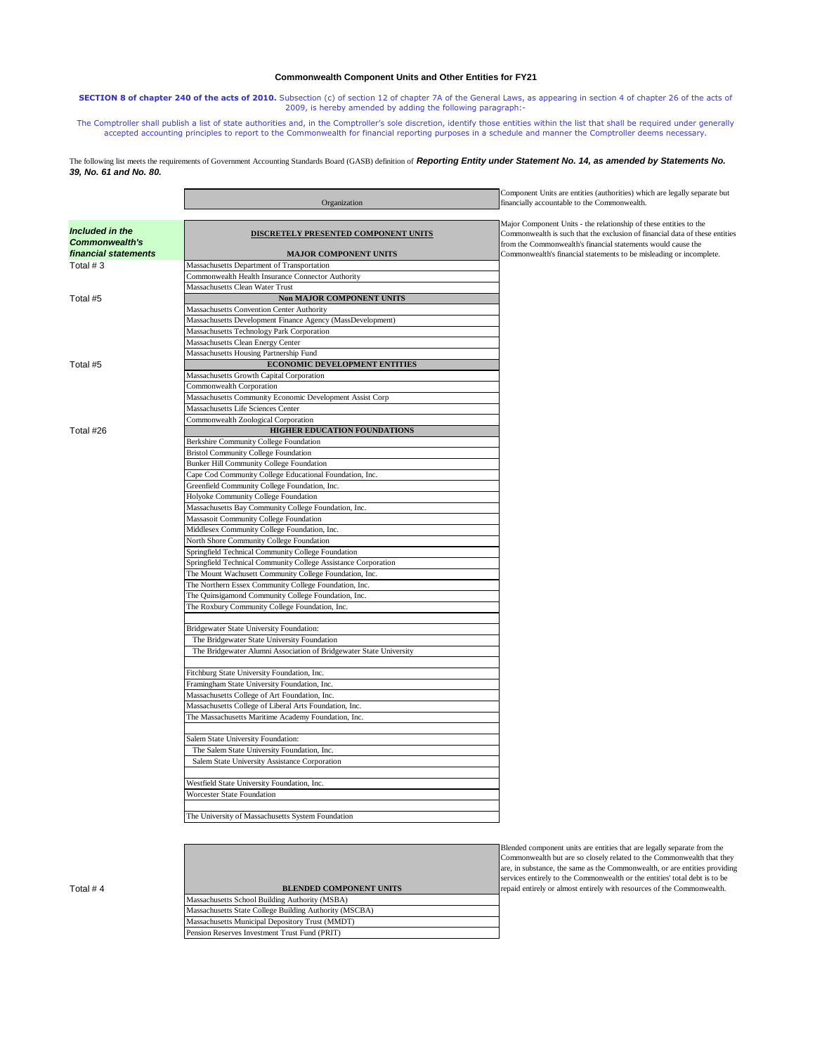# **Commonwealth Component Units and Other Entities for FY21**

**SECTION 8 of chapter 240 of the acts of 2010.** Subsection (c) of section 12 of chapter 7A of the General Laws, as appearing in section 4 of chapter 26 of the acts of 2009, is hereby amended by adding the following paragraph:-

The Comptroller shall publish a list of state authorities and, in the Comptroller's sole discretion, identify those entities within the list that shall be required under generally<br>accepted accounting principles to report t

### The following list meets the requirements of Government Accounting Standards Board (GASB) definition of **Reporting Entity under Statement No. 14, as amended by Statements No.** *39, No. 61 and No. 80.*

|                                                                  | Organization                                                                                                  | Component Units are entities (authorities) which are legally separate but<br>financially accountable to the Commonwealth.                                                                                                                                                               |
|------------------------------------------------------------------|---------------------------------------------------------------------------------------------------------------|-----------------------------------------------------------------------------------------------------------------------------------------------------------------------------------------------------------------------------------------------------------------------------------------|
| Included in the<br><b>Commonwealth's</b><br>financial statements | <b>DISCRETELY PRESENTED COMPONENT UNITS</b><br><b>MAJOR COMPONENT UNITS</b>                                   | Major Component Units - the relationship of these entities to the<br>Commonwealth is such that the exclusion of financial data of these entities<br>from the Commonwealth's financial statements would cause the<br>Commonwealth's financial statements to be misleading or incomplete. |
| Total #3                                                         | Massachusetts Department of Transportation                                                                    |                                                                                                                                                                                                                                                                                         |
|                                                                  | Commonwealth Health Insurance Connector Authority                                                             |                                                                                                                                                                                                                                                                                         |
|                                                                  | Massachusetts Clean Water Trust                                                                               |                                                                                                                                                                                                                                                                                         |
| Total #5                                                         | <b>Non MAJOR COMPONENT UNITS</b>                                                                              |                                                                                                                                                                                                                                                                                         |
|                                                                  | Massachusetts Convention Center Authority                                                                     |                                                                                                                                                                                                                                                                                         |
|                                                                  | Massachusetts Development Finance Agency (MassDevelopment)                                                    |                                                                                                                                                                                                                                                                                         |
|                                                                  | Massachusetts Technology Park Corporation                                                                     |                                                                                                                                                                                                                                                                                         |
|                                                                  | Massachusetts Clean Energy Center                                                                             |                                                                                                                                                                                                                                                                                         |
|                                                                  | Massachusetts Housing Partnership Fund                                                                        |                                                                                                                                                                                                                                                                                         |
| Total #5                                                         | ECONOMIC DEVELOPMENT ENTITIES                                                                                 |                                                                                                                                                                                                                                                                                         |
|                                                                  | Massachusetts Growth Capital Corporation                                                                      |                                                                                                                                                                                                                                                                                         |
|                                                                  | Commonwealth Corporation                                                                                      |                                                                                                                                                                                                                                                                                         |
|                                                                  | Massachusetts Community Economic Development Assist Corp                                                      |                                                                                                                                                                                                                                                                                         |
|                                                                  | Massachusetts Life Sciences Center                                                                            |                                                                                                                                                                                                                                                                                         |
|                                                                  | Commonwealth Zoological Corporation                                                                           |                                                                                                                                                                                                                                                                                         |
| Total #26                                                        | HIGHER EDUCATION FOUNDATIONS                                                                                  |                                                                                                                                                                                                                                                                                         |
|                                                                  | Berkshire Community College Foundation                                                                        |                                                                                                                                                                                                                                                                                         |
|                                                                  | <b>Bristol Community College Foundation</b>                                                                   |                                                                                                                                                                                                                                                                                         |
|                                                                  | Bunker Hill Community College Foundation                                                                      |                                                                                                                                                                                                                                                                                         |
|                                                                  | Cape Cod Community College Educational Foundation, Inc.                                                       |                                                                                                                                                                                                                                                                                         |
|                                                                  | Greenfield Community College Foundation, Inc.                                                                 |                                                                                                                                                                                                                                                                                         |
|                                                                  | Holyoke Community College Foundation                                                                          |                                                                                                                                                                                                                                                                                         |
|                                                                  | Massachusetts Bay Community College Foundation, Inc.                                                          |                                                                                                                                                                                                                                                                                         |
|                                                                  | Massasoit Community College Foundation                                                                        |                                                                                                                                                                                                                                                                                         |
|                                                                  | Middlesex Community College Foundation, Inc.                                                                  |                                                                                                                                                                                                                                                                                         |
|                                                                  | North Shore Community College Foundation                                                                      |                                                                                                                                                                                                                                                                                         |
|                                                                  | Springfield Technical Community College Foundation                                                            |                                                                                                                                                                                                                                                                                         |
|                                                                  | Springfield Technical Community College Assistance Corporation                                                |                                                                                                                                                                                                                                                                                         |
|                                                                  | The Mount Wachusett Community College Foundation, Inc.                                                        |                                                                                                                                                                                                                                                                                         |
|                                                                  | The Northern Essex Community College Foundation, Inc.                                                         |                                                                                                                                                                                                                                                                                         |
|                                                                  | The Quinsigamond Community College Foundation, Inc.                                                           |                                                                                                                                                                                                                                                                                         |
|                                                                  | The Roxbury Community College Foundation, Inc.                                                                |                                                                                                                                                                                                                                                                                         |
|                                                                  | Bridgewater State University Foundation:                                                                      |                                                                                                                                                                                                                                                                                         |
|                                                                  | The Bridgewater State University Foundation                                                                   |                                                                                                                                                                                                                                                                                         |
|                                                                  | The Bridgewater Alumni Association of Bridgewater State University                                            |                                                                                                                                                                                                                                                                                         |
|                                                                  | Fitchburg State University Foundation, Inc.                                                                   |                                                                                                                                                                                                                                                                                         |
|                                                                  | Framingham State University Foundation, Inc.                                                                  |                                                                                                                                                                                                                                                                                         |
|                                                                  | Massachusetts College of Art Foundation, Inc.                                                                 |                                                                                                                                                                                                                                                                                         |
|                                                                  | Massachusetts College of Liberal Arts Foundation, Inc.<br>The Massachusetts Maritime Academy Foundation, Inc. |                                                                                                                                                                                                                                                                                         |
|                                                                  | Salem State University Foundation:                                                                            |                                                                                                                                                                                                                                                                                         |
|                                                                  | The Salem State University Foundation, Inc.                                                                   |                                                                                                                                                                                                                                                                                         |
|                                                                  | Salem State University Assistance Corporation                                                                 |                                                                                                                                                                                                                                                                                         |
|                                                                  | Westfield State University Foundation Inc.                                                                    |                                                                                                                                                                                                                                                                                         |
|                                                                  | Worcester State Foundation                                                                                    |                                                                                                                                                                                                                                                                                         |
|                                                                  |                                                                                                               |                                                                                                                                                                                                                                                                                         |
|                                                                  | The University of Massachusetts System Foundation                                                             |                                                                                                                                                                                                                                                                                         |
|                                                                  |                                                                                                               | Blended component units are entities that are legally separate from the                                                                                                                                                                                                                 |
|                                                                  |                                                                                                               | Commonwealth but are so closely related to the Commonwealth that they<br>are, in substance, the same as the Commonwealth, or are entities providing<br>services entirely to the Commonwealth or the entities' total debt is to be                                                       |
| Total #4                                                         | <b>BLENDED COMPONENT UNITS</b>                                                                                | repaid entirely or almost entirely with resources of the Commonwealth.                                                                                                                                                                                                                  |

Massachusetts School Building Authority (MSBA) Massachusetts State College Building Authority (MSCBA) Massachusetts Municipal Depository Trust (MMDT) Pension Reserves Investment Trust Fund (PRIT)